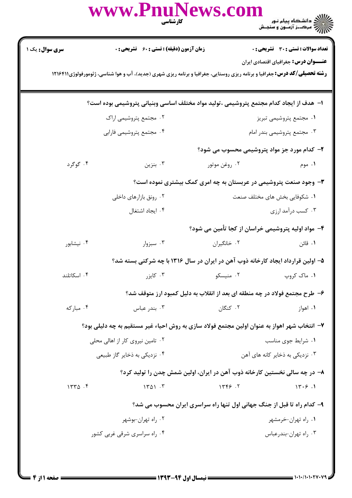|                                                                                                                                                                                 | كارشناسي                     | www.PnuNews.com                                    |                        |
|---------------------------------------------------------------------------------------------------------------------------------------------------------------------------------|------------------------------|----------------------------------------------------|------------------------|
| <b>تعداد سوالات : تستی : 30 ٪ تشریحی : 0</b>                                                                                                                                    |                              | <b>زمان آزمون (دقیقه) : تستی : 60 ٪ تشریحی : 0</b> | <b>سری سوال :</b> یک ۱ |
| <b>عنـــوان درس:</b> جغرافیای اقتصادی ایران<br><b>رشته تحصیلی/کد درس:</b> جغرافیا و برنامه ریزی روستایی، جغرافیا و برنامه ریزی شهری (جدید)، آب و هوا شناسی، ژئومورفولوژی۱۲۱۶۴۱۱ |                              |                                                    |                        |
| ا– ً هدف از ایجاد کدام مجتمع پتروشیمی ،تولید مواد مختلف اساسی وبنیانی پتروشیمی بوده است؟                                                                                        |                              |                                                    |                        |
| ۰۱ مجتمع پتروشیمی تبریز                                                                                                                                                         |                              | ۰۲ مجتمع پتروشیمی اراک                             |                        |
| ۰۳ مجتمع پتروشیمی بندر امام                                                                                                                                                     |                              | ۰۴ مجتمع پتروشیمی فارابی                           |                        |
| ۲- کدام مورد جز مواد پتروشیمی محسوب می شود؟                                                                                                                                     |                              |                                                    |                        |
| ۰۲ روغن موتور<br>۰۱ موم                                                                                                                                                         |                              | ۰۳ بنزین                                           | ۰۴ گوگرد               |
| ۳- وجود صنعت پتروشیمی در عربستان به چه امری کمک بیشتری نموده است؟                                                                                                               |                              |                                                    |                        |
| ۰۱ شکوفایی بخش های مختلف صنعت                                                                                                                                                   | ۰۲ رونق بازارهای داخلی       |                                                    |                        |
| ۰۳ کسب درآمد ارزی                                                                                                                                                               |                              | ۰۴ ایجاد اشتغال                                    |                        |
| ۴- مواد اولیه پتروشیمی خراسان از کجا تأمین می شود؟                                                                                                                              |                              |                                                    |                        |
| ۰۲ خانگیران<br>۰۱ قائن                                                                                                                                                          |                              | ۰۳ سبزوار                                          | ۰۴ نیشابور             |
| ۵– اولین قرارداد ایجاد کارخانه ذوب آهن در ایران در سال ۱۳۱۶ با چه شرکتی بسته شد؟                                                                                                |                              |                                                    |                        |
| ۰۱ ماک کروپ<br>۰۲ منیسکو                                                                                                                                                        |                              | ۰۳ کایز,                                           | ۰۴ اسکاتلند            |
| ۶- طرح مجتمع فولاد در چه منطقه ای بعد از انقلاب به دلیل کمبود ارز متوقف شد؟                                                                                                     |                              |                                                    |                        |
| ۰۲ کنگان<br>۰۱ اهواز                                                                                                                                                            |                              | بندر عباس $\cdot$ ۳                                | ۰۴ مبارکه              |
| ٧- انتخاب شهر اهواز به عنوان اولین مجتمع فولاد سازی به روش احیاء غیر مستقیم به چه دلیلی بود؟                                                                                    |                              |                                                    |                        |
| ۰۱ شرایط جوی مناسب                                                                                                                                                              |                              | ۰۲ تامین نیروی کار از اهالی محلی                   |                        |
| ۰۳ نزدیکی به ذخایر کانه های آهن                                                                                                                                                 | ۰۴ نزدیکی به ذخایر گاز طبیعی |                                                    |                        |
| ۸– در چه سالی نخستین کارخانه ذوب آهن در ایران، اولین شمش چدن را تولید کرد؟                                                                                                      |                              |                                                    |                        |
| 1449.7<br>14.9.1                                                                                                                                                                |                              | 1401.7                                             | 1770.5                 |
| ۹- کدام راه تا قبل از جنگ جهانی اول تنها راه سراسری ایران محسوب می شد؟                                                                                                          |                              |                                                    |                        |
| ۰۱ راه تهران-خرمشهر                                                                                                                                                             |                              | ۰۲ راه تهران-بوشهر                                 |                        |
| ۰۳ راه تهران-بندرعباس                                                                                                                                                           |                              | ۰۴ راه سراسری شرقی غربی کشور                       |                        |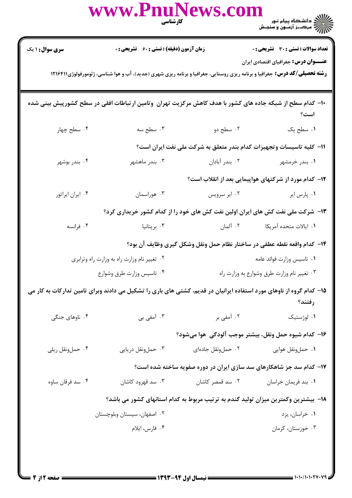|                                                                                                                                                                                 | www.PnuNews.com                                                                                            | <b>کار شناسی</b><br>مسینی                  | )))))<br>))))))) دانشگاه پیام نور<br>))))))) مرک_ز آزمـون و سنجـش                  |  |  |  |  |
|---------------------------------------------------------------------------------------------------------------------------------------------------------------------------------|------------------------------------------------------------------------------------------------------------|--------------------------------------------|------------------------------------------------------------------------------------|--|--|--|--|
| <b>سری سوال : ۱ یک</b>                                                                                                                                                          | زمان آزمون (دقیقه) : تستی : 60 ٪ تشریحی : 0                                                                |                                            | <b>تعداد سوالات : تستی : 30 ٪ تشریحی : 0</b>                                       |  |  |  |  |
| <b>عنـــوان درس:</b> جغرافیای اقتصادی ایران<br><b>رشته تحصیلی/کد درس:</b> جغرافیا و برنامه ریزی روستایی، جغرافیا و برنامه ریزی شهری (جدید)، آب و هوا شناسی، ژئومورفولوژی1۲۱۶۴۱۱ |                                                                                                            |                                            |                                                                                    |  |  |  |  |
|                                                                                                                                                                                 | ∙ا− کدام سطح از شبکه جاده های کشور با هدف کاهش مرکزیت تهران ۖ وتامین ارتباطات افقی در سطح کشورپیش بینی شده |                                            | است؟                                                                               |  |  |  |  |
| ۰۴ سطح چهار                                                                                                                                                                     |                                                                                                            | ۲. سطح دو سه سه ۲. سطح سه                  | ٠١. سطح يک                                                                         |  |  |  |  |
|                                                                                                                                                                                 |                                                                                                            |                                            | 11- كليه تاسيسات وتجهيزات كدام بندر متعلق به شركت ملى نفت ايران است؟               |  |  |  |  |
| ۰۴ بندر بوشهر                                                                                                                                                                   | ۰۳ بندر ماهشهر                                                                                             | ۰۲ بندر آبادان                             | ۰۱ بندر خرمشهر                                                                     |  |  |  |  |
|                                                                                                                                                                                 |                                                                                                            |                                            | ۱۲– کدام مورد از شرکتهای هواپیمایی بعد از انقلاب است؟                              |  |  |  |  |
| ۰۴ ایران ایراتور                                                                                                                                                                | ۰۳ هوراسمان                                                                                                | ۰۲ ایر سرویس                               | ۰۱ پارس ایر                                                                        |  |  |  |  |
|                                                                                                                                                                                 |                                                                                                            |                                            | ۱۳- شرکت ملی نفت کش های ایران اولین نفت کش های خود را از کدام کشور خریداری کرد؟    |  |  |  |  |
| ۰۴ فرانسه                                                                                                                                                                       |                                                                                                            |                                            |                                                                                    |  |  |  |  |
|                                                                                                                                                                                 |                                                                                                            |                                            | ۱۴- كدام واقعه نقطه عطفي در ساختار نظام حمل ونقل وشكل گيري وظايف آن بود؟           |  |  |  |  |
|                                                                                                                                                                                 | ٠٢ تغيير نام وزارت راه به وزارت راه وترابري                                                                | ٠١ تاسيس وزارت فوائد عامه                  |                                                                                    |  |  |  |  |
| ۰۴ تاسیس وزارت طرق وشوارع                                                                                                                                                       |                                                                                                            | ۰۳ تغییر نام وزارت طرق وشوارع به وزارت راه |                                                                                    |  |  |  |  |
| ۱۵– کدام گروه از ناوهای مورد استفاده ایرانیان در قدیم، کشتی های باری را تشکیل می دادند وبرای تامین تدارکات به کار می<br>رفتند؟                                                  |                                                                                                            |                                            |                                                                                    |  |  |  |  |
| ۰۴ ناوهای جنگی                                                                                                                                                                  | ۰۳ آمفی بی                                                                                                 | ۰۲ آمفی بر                                 | ۰۱ لوژستیک                                                                         |  |  |  |  |
|                                                                                                                                                                                 |                                                                                                            |                                            | ۱۶– کدام شیوه حمل ونقل، بیشتر موجب آلودگی  هوا میشود؟                              |  |  |  |  |
| ۰۴ حملونقل ريلي                                                                                                                                                                 | ۰۳ حملونقل دريايي                                                                                          | ۰۲ حمل ونقل جادهای                         | ۰۱ حملونقل هوایی                                                                   |  |  |  |  |
|                                                                                                                                                                                 |                                                                                                            |                                            | ۱۷– کدام سد جز شاهکارهای سد سازی ایران در دوره صفویه ساخته شده است؟                |  |  |  |  |
| ۰۴ سد فرقان ساوه                                                                                                                                                                | ۰۳ سد قهرود کاشان                                                                                          | ۰۲ سد قمصر کاشان                           | ٠١. بند فريمان خراسان                                                              |  |  |  |  |
|                                                                                                                                                                                 |                                                                                                            |                                            | ۱۸– بیشترین وکمترین میزان تولید گندم به ترتیب مربوط به کدام استانهای کشور می باشد؟ |  |  |  |  |
|                                                                                                                                                                                 | ۰۲ اصفهان، سیستان وبلوچستان                                                                                |                                            | ۰۱ خراسان، يزد                                                                     |  |  |  |  |
|                                                                                                                                                                                 | ۰۴ فارس، ايلام                                                                                             |                                            | ۰۳ خوزستان، کرمان                                                                  |  |  |  |  |
|                                                                                                                                                                                 |                                                                                                            |                                            |                                                                                    |  |  |  |  |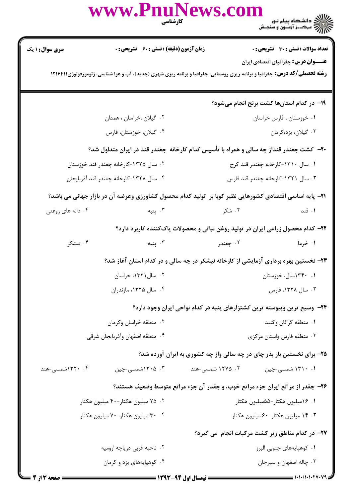|                                                                                                                                                                          |                                                                          | www.PnuNews.com<br><b>کار شناسی</b>                                                                             |                                              |  |  |  |  |
|--------------------------------------------------------------------------------------------------------------------------------------------------------------------------|--------------------------------------------------------------------------|-----------------------------------------------------------------------------------------------------------------|----------------------------------------------|--|--|--|--|
| <b>سری سوال : ۱ یک</b>                                                                                                                                                   | <b>زمان آزمون (دقیقه) : تستی : 60 ٪ تشریحی : 0</b>                       |                                                                                                                 | <b>تعداد سوالات : تستی : 30 - تشریحی : 0</b> |  |  |  |  |
| عنـــوان درس: جغرافیای اقتصادی ایران<br><b>رشته تحصیلی/کد درس:</b> جغرافیا و برنامه ریزی روستایی، جغرافیا و برنامه ریزی شهری (جدید)، آب و هوا شناسی، ژئومورفولوژی۱۲۱۶۴۱۱ |                                                                          |                                                                                                                 |                                              |  |  |  |  |
|                                                                                                                                                                          |                                                                          |                                                                                                                 | ۱۹– در کدام استانها کشت برنج انجام میشود؟    |  |  |  |  |
|                                                                                                                                                                          | ۰۲ گیلان ،خراسان ، همدان                                                 |                                                                                                                 | ٠١ خوزستان ، فارس خراسان                     |  |  |  |  |
|                                                                                                                                                                          | ۰۴ گیلان، خوزستان، فارس                                                  |                                                                                                                 | ۰۳ گیلان، یزد،کرمان                          |  |  |  |  |
| ۲۰– کشت چغندر قنداز چه سالی و همراه با تأسیس کدام کارخانه چغندر قند در ایران متداول شد؟                                                                                  |                                                                          |                                                                                                                 |                                              |  |  |  |  |
| ۰۲ سال ۱۳۲۵-کارخانه چغندر قند خوزستان                                                                                                                                    |                                                                          | ۰۱ سال ۱۳۱۰-کارخانه چغندر قند کرج                                                                               |                                              |  |  |  |  |
|                                                                                                                                                                          | ۰۴ سال ۱۳۲۸-کارخانه چغندر قند آذربایجان                                  |                                                                                                                 | ۰۳ سال ۱۳۲۱-کارخانه چغندر قند فارس           |  |  |  |  |
|                                                                                                                                                                          |                                                                          | <b>۲۱</b> - پایه اساسی اقتصادی کشورهایی نظیر کوبا بر  تولید کدام محصول کشاورزی وعرضه آن در بازار جهانی می باشد؟ |                                              |  |  |  |  |
| ۰۴ دانه های روغنی                                                                                                                                                        | ۰۲ شکر میبه سال ۲۰۰                                                      |                                                                                                                 | ۰۱ قند                                       |  |  |  |  |
|                                                                                                                                                                          |                                                                          | ۲۲– کدام محصول زراعی ایران در تولید روغن نباتی و محصولات پاککننده کاربرد دارد؟                                  |                                              |  |  |  |  |
| ۰۴ نیشکر                                                                                                                                                                 | بنبه $\cdot$ ۳                                                           | ۰۲ چغندر                                                                                                        | ۰۱ خرما                                      |  |  |  |  |
|                                                                                                                                                                          |                                                                          | ۲۳- نخستین بهره برداری آزمایشی از کارخانه نیشکر در چه سالی و در کدام استان آغاز شد؟                             |                                              |  |  |  |  |
| ۰۲ سال ۱۳۲۱، خراسان                                                                                                                                                      |                                                                          |                                                                                                                 | ۰۱ ۱۳۴۰سال، خوزستان                          |  |  |  |  |
|                                                                                                                                                                          | ۰۴ سال ۱۳۲۵، مازندران                                                    |                                                                                                                 | ۰۳ سال ۱۳۲۸، فارس                            |  |  |  |  |
|                                                                                                                                                                          | ۲۴- وسیع ترین وپیوسته ترین کشتزارهای پنبه در کدام نواحی ایران وجود دارد؟ |                                                                                                                 |                                              |  |  |  |  |
| ۰۲ منطقه خراسان وکرمان                                                                                                                                                   |                                                                          |                                                                                                                 | ٠١ منطقه گرگان وگنبد                         |  |  |  |  |
|                                                                                                                                                                          | ۰۴ منطقه اصفهان وأذربايجان شرقي                                          |                                                                                                                 | ۰۳ منطقه فارس واستان مركزى                   |  |  |  |  |
|                                                                                                                                                                          | ۲۵- برای نخستین بار بذر چای در چه سالی واز چه کشوری به ایران آورده شد؟   |                                                                                                                 |                                              |  |  |  |  |
| ۰۴ ۱۳۲۰شمسی-هند                                                                                                                                                          | ۰۳ . ۱۳۰۵شمسی-چین                                                        | ۰۲ ۱۲۷۵ شمسی-هند                                                                                                | ۰۱ ۱۳۱۰ شمسی-چین                             |  |  |  |  |
|                                                                                                                                                                          |                                                                          | ۲۶- چقدر از مراتع ایران جزء مراتع خوب، و چقدر آن جزء مراتع متوسط وضعیف هستند؟                                   |                                              |  |  |  |  |
|                                                                                                                                                                          | ۰۲ میلیون هکتار-۴۰ میلیون هکتار                                          |                                                                                                                 | ۰۱ ۱۶میلیون هکتار-۵۵میلیون هکتار             |  |  |  |  |
|                                                                                                                                                                          | ۰۴ ۰.۴ میلیون هکتار-۷۰ میلیون هکتار                                      |                                                                                                                 | ۰۳ ۱۴ میلیون هکتار-۶۰ میلیون هکتار           |  |  |  |  |
|                                                                                                                                                                          | ۲۷- در کدام مناطق زیر کشت مرکبات انجام ًمی گیرد؟                         |                                                                                                                 |                                              |  |  |  |  |
|                                                                                                                                                                          | ۲. ناحیه غربی دریاچه ارومیه                                              |                                                                                                                 | ٠١. كوهپايههاي جنوبي البرز                   |  |  |  |  |
|                                                                                                                                                                          | ۰۴ کوهپایههای یزد و کرمان                                                |                                                                                                                 | ۰۳ چاله اصفهان و سيرجان                      |  |  |  |  |